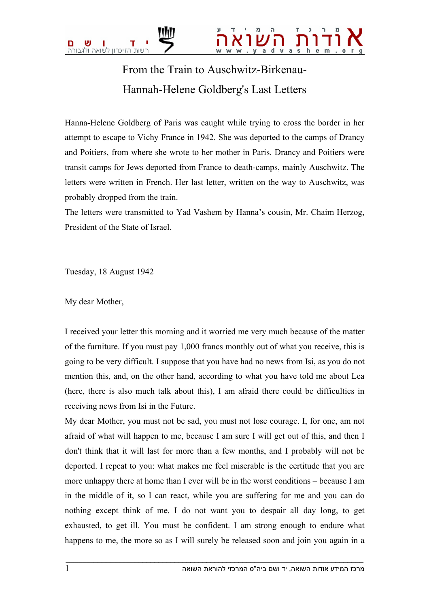



## From the Train to Auschwitz-Birkenau-Hannah-Helene Goldberg's Last Letters

Hanna-Helene Goldberg of Paris was caught while trying to cross the border in her attempt to escape to Vichy France in 1942. She was deported to the camps of Drancy and Poitiers, from where she wrote to her mother in Paris. Drancy and Poitiers were transit camps for Jews deported from France to death-camps, mainly Auschwitz. The letters were written in French. Her last letter, written on the way to Auschwitz, was probably dropped from the train.

The letters were transmitted to Yad Vashem by Hanna's cousin, Mr. Chaim Herzog, President of the State of Israel.

Tuesday, 18 August 1942

My dear Mother,

I received your letter this morning and it worried me very much because of the matter of the furniture. If you must pay 1,000 francs monthly out of what you receive, this is going to be very difficult. I suppose that you have had no news from Isi, as you do not mention this, and, on the other hand, according to what you have told me about Lea (here, there is also much talk about this), I am afraid there could be difficulties in receiving news from Isi in the Future.

My dear Mother, you must not be sad, you must not lose courage. I, for one, am not afraid of what will happen to me, because I am sure I will get out of this, and then I don't think that it will last for more than a few months, and I probably will not be deported. I repeat to you: what makes me feel miserable is the certitude that you are more unhappy there at home than I ever will be in the worst conditions – because I am in the middle of it, so I can react, while you are suffering for me and you can do nothing except think of me. I do not want you to despair all day long, to get exhausted, to get ill. You must be confident. I am strong enough to endure what happens to me, the more so as I will surely be released soon and join you again in a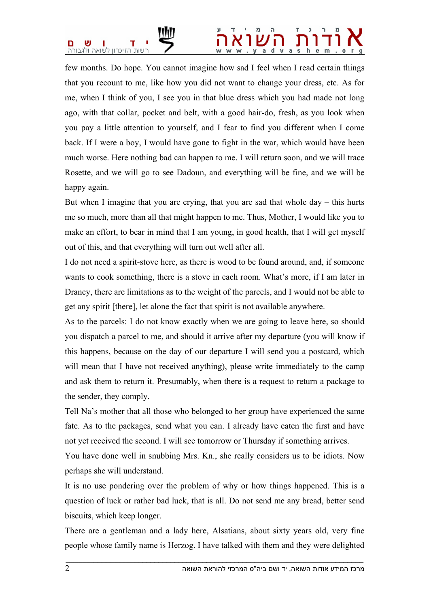

## $v a s$

few months. Do hope. You cannot imagine how sad I feel when I read certain things that you recount to me, like how you did not want to change your dress, etc. As for me, when I think of you, I see you in that blue dress which you had made not long ago, with that collar, pocket and belt, with a good hair-do, fresh, as you look when you pay a little attention to yourself, and I fear to find you different when I come back. If I were a boy, I would have gone to fight in the war, which would have been much worse. Here nothing bad can happen to me. I will return soon, and we will trace Rosette, and we will go to see Dadoun, and everything will be fine, and we will be happy again.

But when I imagine that you are crying, that you are sad that whole day – this hurts me so much, more than all that might happen to me. Thus, Mother, I would like you to make an effort, to bear in mind that I am young, in good health, that I will get myself out of this, and that everything will turn out well after all.

I do not need a spirit-stove here, as there is wood to be found around, and, if someone wants to cook something, there is a stove in each room. What's more, if I am later in Drancy, there are limitations as to the weight of the parcels, and I would not be able to get any spirit [there], let alone the fact that spirit is not available anywhere.

As to the parcels: I do not know exactly when we are going to leave here, so should you dispatch a parcel to me, and should it arrive after my departure (you will know if this happens, because on the day of our departure I will send you a postcard, which will mean that I have not received anything), please write immediately to the camp and ask them to return it. Presumably, when there is a request to return a package to the sender, they comply.

Tell Na's mother that all those who belonged to her group have experienced the same fate. As to the packages, send what you can. I already have eaten the first and have not yet received the second. I will see tomorrow or Thursday if something arrives.

You have done well in snubbing Mrs. Kn., she really considers us to be idiots. Now perhaps she will understand.

It is no use pondering over the problem of why or how things happened. This is a question of luck or rather bad luck, that is all. Do not send me any bread, better send biscuits, which keep longer.

There are a gentleman and a lady here, Alsatians, about sixty years old, very fine people whose family name is Herzog. I have talked with them and they were delighted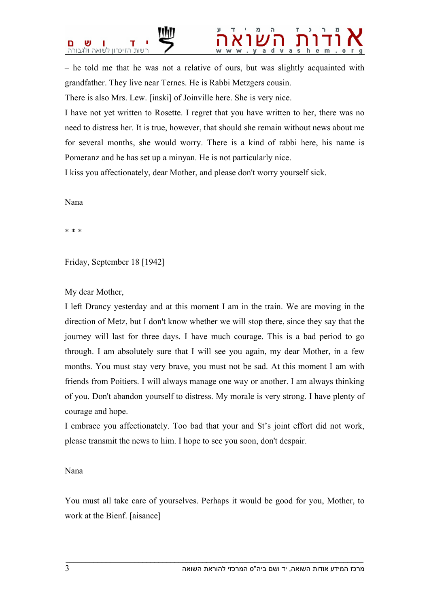

– he told me that he was not a relative of ours, but was slightly acquainted with grandfather. They live near Ternes. He is Rabbi Metzgers cousin.

There is also Mrs. Lew. [inski] of Joinville here. She is very nice.

I have not yet written to Rosette. I regret that you have written to her, there was no need to distress her. It is true, however, that should she remain without news about me for several months, she would worry. There is a kind of rabbi here, his name is Pomeranz and he has set up a minyan. He is not particularly nice.

I kiss you affectionately, dear Mother, and please don't worry yourself sick.

Nana

\* \* \*

Friday, September 18 [1942]

My dear Mother,

I left Drancy yesterday and at this moment I am in the train. We are moving in the direction of Metz, but I don't know whether we will stop there, since they say that the journey will last for three days. I have much courage. This is a bad period to go through. I am absolutely sure that I will see you again, my dear Mother, in a few months. You must stay very brave, you must not be sad. At this moment I am with friends from Poitiers. I will always manage one way or another. I am always thinking of you. Don't abandon yourself to distress. My morale is very strong. I have plenty of courage and hope.

I embrace you affectionately. Too bad that your and St's joint effort did not work, please transmit the news to him. I hope to see you soon, don't despair.

## Nana

You must all take care of yourselves. Perhaps it would be good for you, Mother, to work at the Bienf. [aisance]